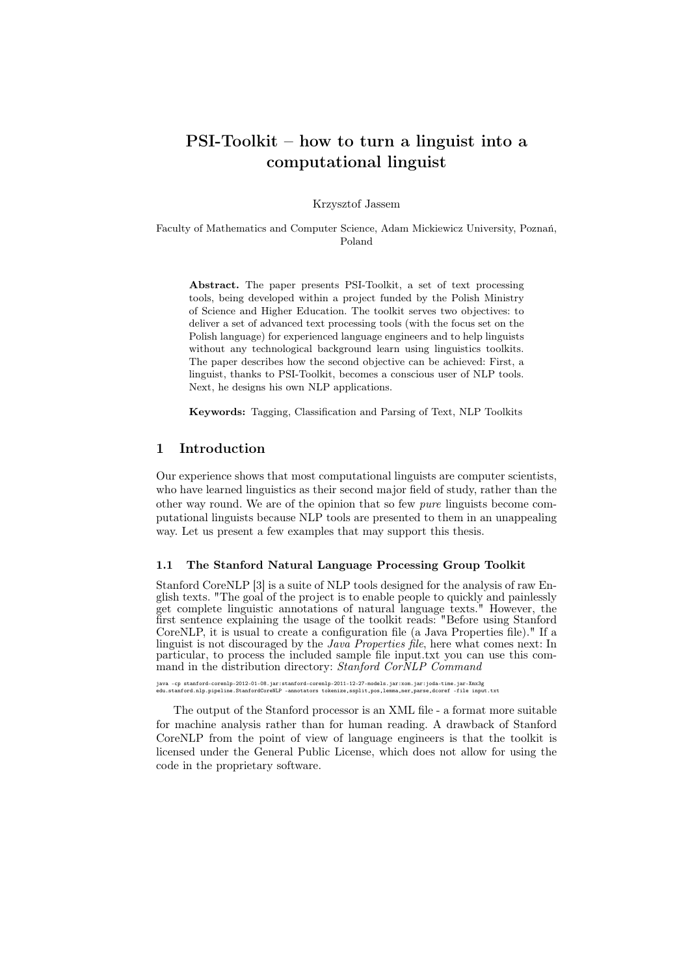# PSI-Toolkit – how to turn a linguist into a computational linguist

#### Krzysztof Jassem

Faculty of Mathematics and Computer Science, Adam Mickiewicz University, Poznań, Poland

Abstract. The paper presents PSI-Toolkit, a set of text processing tools, being developed within a project funded by the Polish Ministry of Science and Higher Education. The toolkit serves two objectives: to deliver a set of advanced text processing tools (with the focus set on the Polish language) for experienced language engineers and to help linguists without any technological background learn using linguistics toolkits. The paper describes how the second objective can be achieved: First, a linguist, thanks to PSI-Toolkit, becomes a conscious user of NLP tools. Next, he designs his own NLP applications.

Keywords: Tagging, Classification and Parsing of Text, NLP Toolkits

# 1 Introduction

Our experience shows that most computational linguists are computer scientists, who have learned linguistics as their second major field of study, rather than the other way round. We are of the opinion that so few pure linguists become computational linguists because NLP tools are presented to them in an unappealing way. Let us present a few examples that may support this thesis.

### 1.1 The Stanford Natural Language Processing Group Toolkit

Stanford CoreNLP [3] is a suite of NLP tools designed for the analysis of raw English texts. "The goal of the project is to enable people to quickly and painlessly get complete linguistic annotations of natural language texts." However, the first sentence explaining the usage of the toolkit reads: "Before using Stanford CoreNLP, it is usual to create a configuration file (a Java Properties file)." If a linguist is not discouraged by the *Java Properties file*, here what comes next: In particular, to process the included sample file input.txt you can use this command in the distribution directory: Stanford CorNLP Command

java -cp stanford-corenlp-2012-01-08.jar:stanford-corenlp-2011-12-27-models.jar:xom.jar:joda-time.jar-Xmx3g edu.stanford.nlp.pipeline.StanfordCoreNLP -annotators tokenize,ssplit,pos,lemma,ner,parse,dcoref -file input.txt

The output of the Stanford processor is an XML file - a format more suitable for machine analysis rather than for human reading. A drawback of Stanford CoreNLP from the point of view of language engineers is that the toolkit is licensed under the General Public License, which does not allow for using the code in the proprietary software.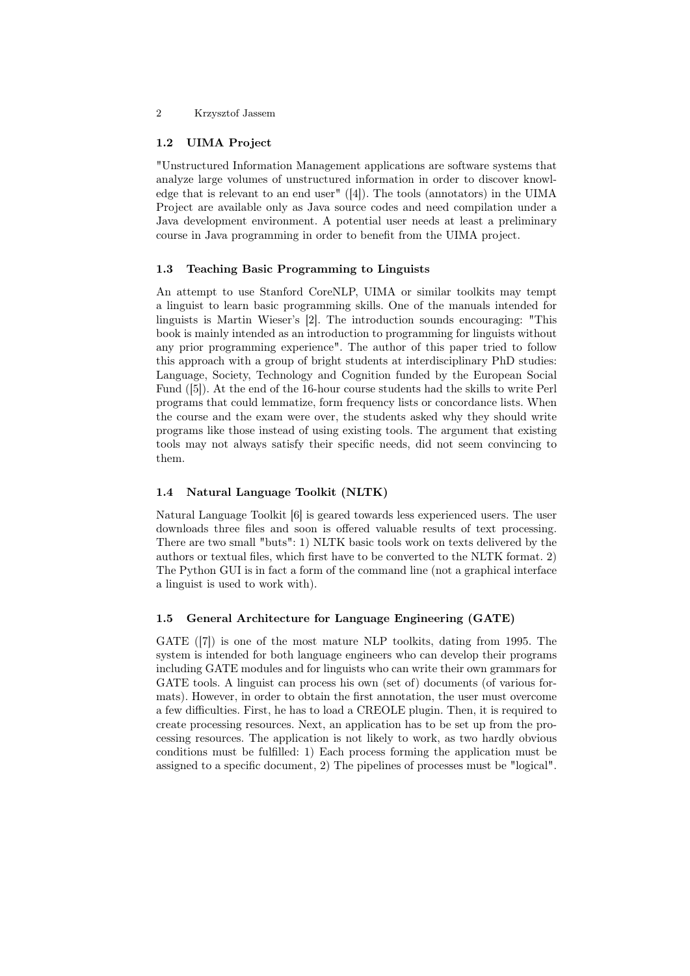#### 2 Krzysztof Jassem

# 1.2 UIMA Project

"Unstructured Information Management applications are software systems that analyze large volumes of unstructured information in order to discover knowledge that is relevant to an end user" ([4]). The tools (annotators) in the UIMA Project are available only as Java source codes and need compilation under a Java development environment. A potential user needs at least a preliminary course in Java programming in order to benefit from the UIMA project.

# 1.3 Teaching Basic Programming to Linguists

An attempt to use Stanford CoreNLP, UIMA or similar toolkits may tempt a linguist to learn basic programming skills. One of the manuals intended for linguists is Martin Wieser's [2]. The introduction sounds encouraging: "This book is mainly intended as an introduction to programming for linguists without any prior programming experience". The author of this paper tried to follow this approach with a group of bright students at interdisciplinary PhD studies: Language, Society, Technology and Cognition funded by the European Social Fund ([5]). At the end of the 16-hour course students had the skills to write Perl programs that could lemmatize, form frequency lists or concordance lists. When the course and the exam were over, the students asked why they should write programs like those instead of using existing tools. The argument that existing tools may not always satisfy their specific needs, did not seem convincing to them.

# 1.4 Natural Language Toolkit (NLTK)

Natural Language Toolkit [6] is geared towards less experienced users. The user downloads three files and soon is offered valuable results of text processing. There are two small "buts": 1) NLTK basic tools work on texts delivered by the authors or textual files, which first have to be converted to the NLTK format. 2) The Python GUI is in fact a form of the command line (not a graphical interface a linguist is used to work with).

### 1.5 General Architecture for Language Engineering (GATE)

GATE ([7]) is one of the most mature NLP toolkits, dating from 1995. The system is intended for both language engineers who can develop their programs including GATE modules and for linguists who can write their own grammars for GATE tools. A linguist can process his own (set of) documents (of various formats). However, in order to obtain the first annotation, the user must overcome a few difficulties. First, he has to load a CREOLE plugin. Then, it is required to create processing resources. Next, an application has to be set up from the processing resources. The application is not likely to work, as two hardly obvious conditions must be fulfilled: 1) Each process forming the application must be assigned to a specific document, 2) The pipelines of processes must be "logical".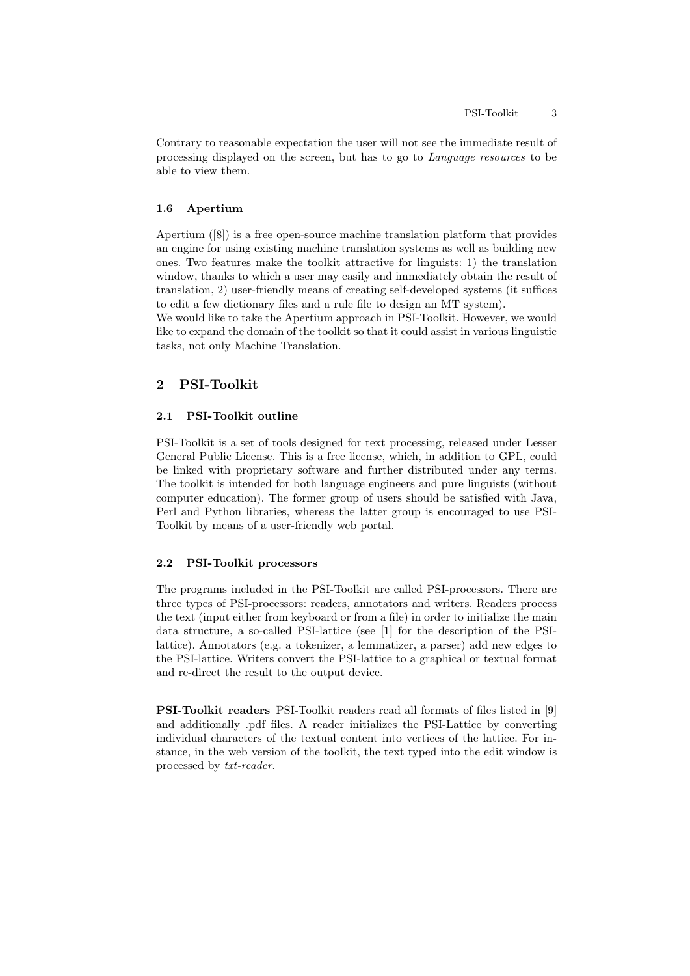Contrary to reasonable expectation the user will not see the immediate result of processing displayed on the screen, but has to go to Language resources to be able to view them.

# 1.6 Apertium

Apertium ([8]) is a free open-source machine translation platform that provides an engine for using existing machine translation systems as well as building new ones. Two features make the toolkit attractive for linguists: 1) the translation window, thanks to which a user may easily and immediately obtain the result of translation, 2) user-friendly means of creating self-developed systems (it suffices to edit a few dictionary files and a rule file to design an MT system).

We would like to take the Apertium approach in PSI-Toolkit. However, we would like to expand the domain of the toolkit so that it could assist in various linguistic tasks, not only Machine Translation.

# 2 PSI-Toolkit

### 2.1 PSI-Toolkit outline

PSI-Toolkit is a set of tools designed for text processing, released under Lesser General Public License. This is a free license, which, in addition to GPL, could be linked with proprietary software and further distributed under any terms. The toolkit is intended for both language engineers and pure linguists (without computer education). The former group of users should be satisfied with Java, Perl and Python libraries, whereas the latter group is encouraged to use PSI-Toolkit by means of a user-friendly web portal.

# 2.2 PSI-Toolkit processors

The programs included in the PSI-Toolkit are called PSI-processors. There are three types of PSI-processors: readers, annotators and writers. Readers process the text (input either from keyboard or from a file) in order to initialize the main data structure, a so-called PSI-lattice (see [1] for the description of the PSIlattice). Annotators (e.g. a tokenizer, a lemmatizer, a parser) add new edges to the PSI-lattice. Writers convert the PSI-lattice to a graphical or textual format and re-direct the result to the output device.

PSI-Toolkit readers PSI-Toolkit readers read all formats of files listed in [9] and additionally .pdf files. A reader initializes the PSI-Lattice by converting individual characters of the textual content into vertices of the lattice. For instance, in the web version of the toolkit, the text typed into the edit window is processed by txt-reader.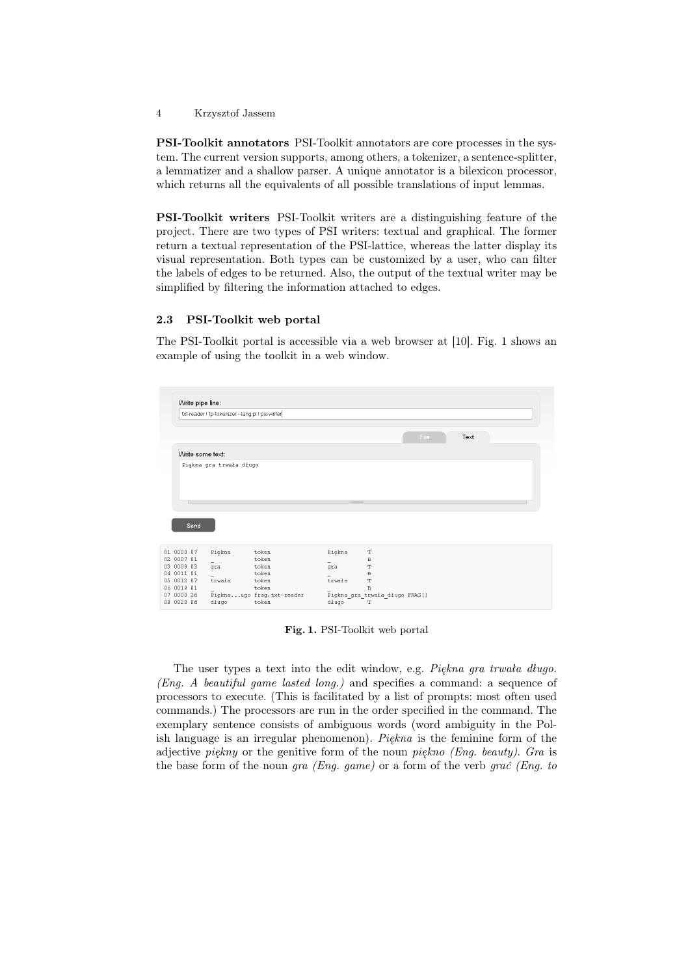4 Krzysztof Jassem

PSI-Toolkit annotators PSI-Toolkit annotators are core processes in the system. The current version supports, among others, a tokenizer, a sentence-splitter, a lemmatizer and a shallow parser. A unique annotator is a bilexicon processor, which returns all the equivalents of all possible translations of input lemmas.

PSI-Toolkit writers PSI-Toolkit writers are a distinguishing feature of the project. There are two types of PSI writers: textual and graphical. The former return a textual representation of the PSI-lattice, whereas the latter display its visual representation. Both types can be customized by a user, who can filter the labels of edges to be returned. Also, the output of the textual writer may be simplified by filtering the information attached to edges.

# 2.3 PSI-Toolkit web portal

The PSI-Toolkit portal is accessible via a web browser at [10]. Fig. 1 shows an example of using the toolkit in a web window.



Fig. 1. PSI-Toolkit web portal

The user types a text into the edit window, e.g. Piękna gra trwała długo. (Eng. A beautiful game lasted long.) and specifies a command: a sequence of processors to execute. (This is facilitated by a list of prompts: most often used commands.) The processors are run in the order specified in the command. The exemplary sentence consists of ambiguous words (word ambiguity in the Polish language is an irregular phenomenon). Piękna is the feminine form of the adjective piękny or the genitive form of the noun piękno (Eng. beauty). Gra is the base form of the noun gra (Eng. game) or a form of the verb grać (Eng. to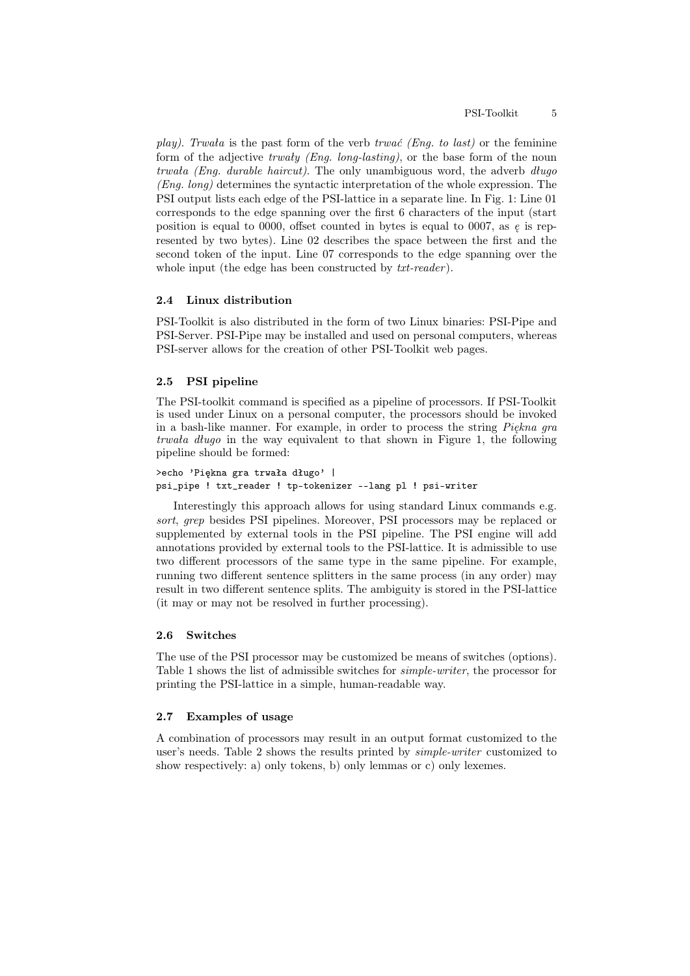play). Trwała is the past form of the verb trwać (Eng. to last) or the feminine form of the adjective trwały (Eng. long-lasting), or the base form of the noun trwała (Eng. durable haircut). The only unambiguous word, the adverb długo  $(Eng. long)$  determines the syntactic interpretation of the whole expression. The PSI output lists each edge of the PSI-lattice in a separate line. In Fig. 1: Line 01 corresponds to the edge spanning over the first 6 characters of the input (start position is equal to 0000, offset counted in bytes is equal to 0007, as  $e$  is represented by two bytes). Line 02 describes the space between the first and the second token of the input. Line 07 corresponds to the edge spanning over the whole input (the edge has been constructed by  $txt-reader)$ .

# 2.4 Linux distribution

PSI-Toolkit is also distributed in the form of two Linux binaries: PSI-Pipe and PSI-Server. PSI-Pipe may be installed and used on personal computers, whereas PSI-server allows for the creation of other PSI-Toolkit web pages.

# 2.5 PSI pipeline

The PSI-toolkit command is specified as a pipeline of processors. If PSI-Toolkit is used under Linux on a personal computer, the processors should be invoked in a bash-like manner. For example, in order to process the string Piękna gra trwała długo in the way equivalent to that shown in Figure 1, the following pipeline should be formed:

```
>echo 'Piękna gra trwała długo' |
psi_pipe ! txt_reader ! tp-tokenizer --lang pl ! psi-writer
```
Interestingly this approach allows for using standard Linux commands e.g. sort, grep besides PSI pipelines. Moreover, PSI processors may be replaced or supplemented by external tools in the PSI pipeline. The PSI engine will add annotations provided by external tools to the PSI-lattice. It is admissible to use two different processors of the same type in the same pipeline. For example, running two different sentence splitters in the same process (in any order) may result in two different sentence splits. The ambiguity is stored in the PSI-lattice (it may or may not be resolved in further processing).

#### 2.6 Switches

The use of the PSI processor may be customized be means of switches (options). Table 1 shows the list of admissible switches for *simple-writer*, the processor for printing the PSI-lattice in a simple, human-readable way.

### 2.7 Examples of usage

A combination of processors may result in an output format customized to the user's needs. Table 2 shows the results printed by simple-writer customized to show respectively: a) only tokens, b) only lemmas or c) only lexemes.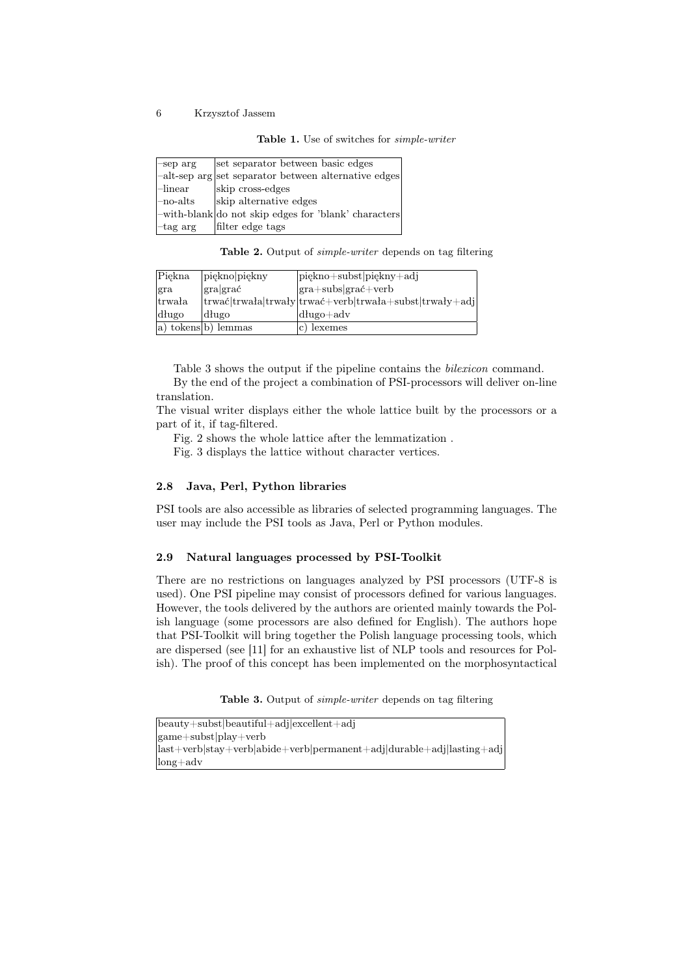6 Krzysztof Jassem

| <b>Table 1.</b> Use of switches for <i>simple-writer</i> |  |  |  |  |  |  |
|----------------------------------------------------------|--|--|--|--|--|--|
|----------------------------------------------------------|--|--|--|--|--|--|

| -sep arg     | set separator between basic edges                    |  |  |  |
|--------------|------------------------------------------------------|--|--|--|
|              | -alt-sep arg set separator between alternative edges |  |  |  |
| $l$ -linear  | skip cross-edges                                     |  |  |  |
| $ $ -no-alts | skip alternative edges                               |  |  |  |
|              | -with-blank do not skip edges for 'blank' characters |  |  |  |
| $-tag \arg$  | filter edge tags                                     |  |  |  |

Table 2. Output of simple-writer depends on tag filtering

| Piekna | piękno piękny                         | $ piekno+subst piekny+adj$                                                                                                    |
|--------|---------------------------------------|-------------------------------------------------------------------------------------------------------------------------------|
| gra    | gra grać                              | $ gra + subs gra\acute{c} + verb$                                                                                             |
| trwała |                                       | $ \text{trwać}  \text{trwała}  \text{trwały}  \text{trwać}+\text{verb}  \text{trwała}+\text{subst}  \text{trwały}+\text{adj}$ |
| dugo   | diugo                                 | długo+adv                                                                                                                     |
|        | $ a\rangle$ tokens $ b\rangle$ lemmas | $ c $ lexemes                                                                                                                 |

Table 3 shows the output if the pipeline contains the bilexicon command.

By the end of the project a combination of PSI-processors will deliver on-line translation.

The visual writer displays either the whole lattice built by the processors or a part of it, if tag-filtered.

Fig. 2 shows the whole lattice after the lemmatization .

Fig. 3 displays the lattice without character vertices.

## 2.8 Java, Perl, Python libraries

PSI tools are also accessible as libraries of selected programming languages. The user may include the PSI tools as Java, Perl or Python modules.

# 2.9 Natural languages processed by PSI-Toolkit

There are no restrictions on languages analyzed by PSI processors (UTF-8 is used). One PSI pipeline may consist of processors defined for various languages. However, the tools delivered by the authors are oriented mainly towards the Polish language (some processors are also defined for English). The authors hope that PSI-Toolkit will bring together the Polish language processing tools, which are dispersed (see [11] for an exhaustive list of NLP tools and resources for Polish). The proof of this concept has been implemented on the morphosyntactical

Table 3. Output of simple-writer depends on tag filtering

| $\begin{bmatrix} \text{beauty} + \text{subst} \\ \text{beautiful} + \text{adj} \\ \text{excellent} + \text{adj} \end{bmatrix}$ |
|--------------------------------------------------------------------------------------------------------------------------------|
| $\gamma$  game+subst play+verb                                                                                                 |
| $ last+verb stay+verb abide+verb permanent+adj durable+adj lasting+adj $                                                       |
| $long+adv$                                                                                                                     |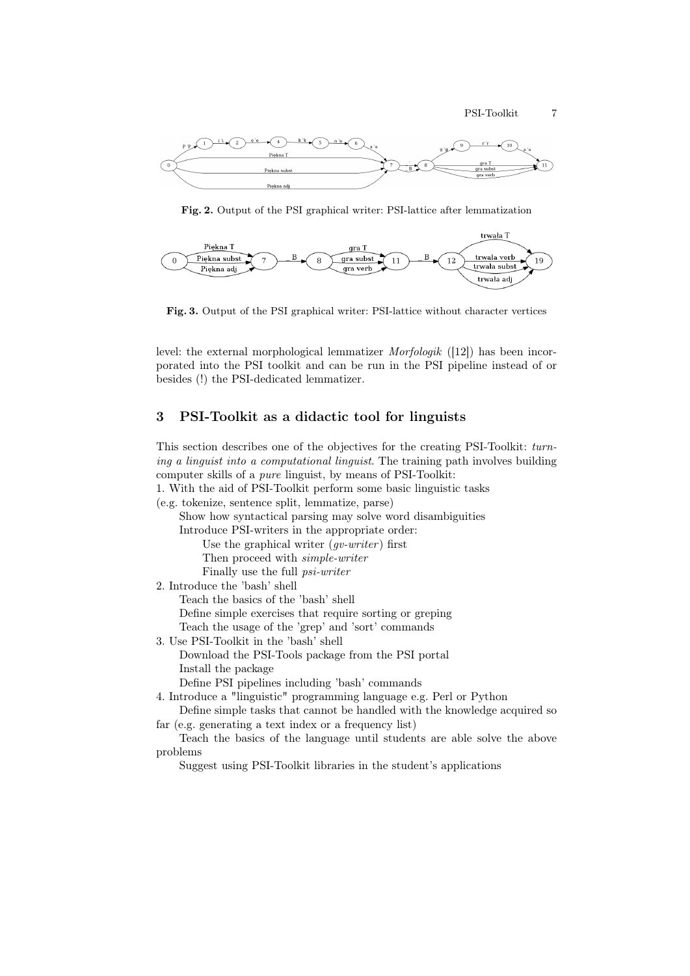

Fig. 2. Output of the PSI graphical writer: PSI-lattice after lemmatization



Fig. 3. Output of the PSI graphical writer: PSI-lattice without character vertices

level: the external morphological lemmatizer Morfologik ([12]) has been incorporated into the PSI toolkit and can be run in the PSI pipeline instead of or besides (!) the PSI-dedicated lemmatizer.

# 3 PSI-Toolkit as a didactic tool for linguists

This section describes one of the objectives for the creating PSI-Toolkit: turning a linguist into a computational linguist. The training path involves building computer skills of a pure linguist, by means of PSI-Toolkit: 1. With the aid of PSI-Toolkit perform some basic linguistic tasks (e.g. tokenize, sentence split, lemmatize, parse) Show how syntactical parsing may solve word disambiguities Introduce PSI-writers in the appropriate order: Use the graphical writer  $(gv\text{-}writer)$  first Then proceed with simple-writer Finally use the full psi-writer 2. Introduce the 'bash' shell Teach the basics of the 'bash' shell Define simple exercises that require sorting or greping Teach the usage of the 'grep' and 'sort' commands 3. Use PSI-Toolkit in the 'bash' shell Download the PSI-Tools package from the PSI portal Install the package Define PSI pipelines including 'bash' commands 4. Introduce a "linguistic" programming language e.g. Perl or Python Define simple tasks that cannot be handled with the knowledge acquired so far (e.g. generating a text index or a frequency list) Teach the basics of the language until students are able solve the above problems

Suggest using PSI-Toolkit libraries in the student's applications